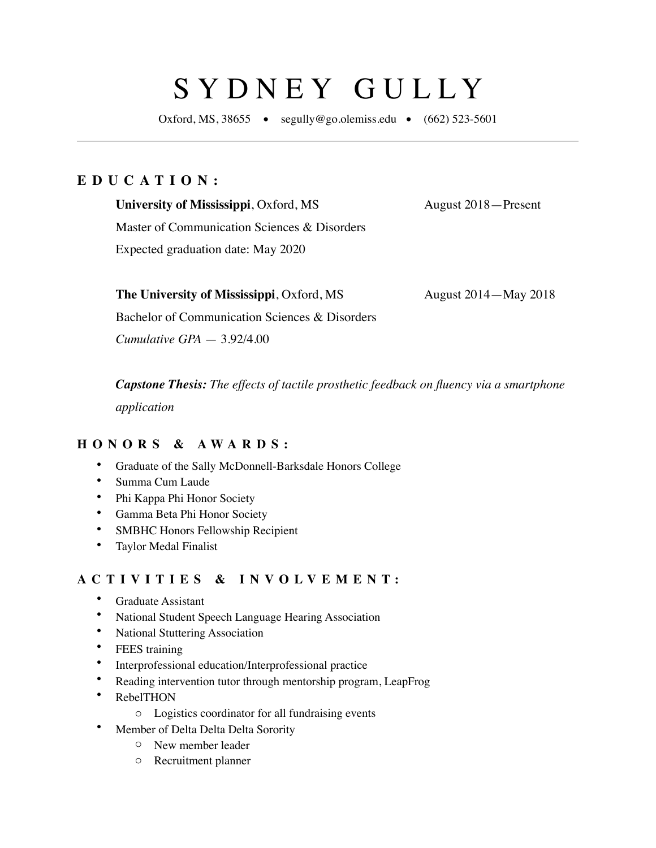# SYDNEY GULLY

Oxford, MS, 38655 • segully@go.olemiss.edu •  $(662)$  523-5601

### **EDUCATION:**

**University of Mississippi**, Oxford, MS August 2018—Present

Master of Communication Sciences & Disorders Expected graduation date: May 2020

**The University of Mississippi**, Oxford, MS August 2014—May 2018

Bachelor of Communication Sciences & Disorders

*Cumulative GPA* — 3.92/4.00

*Capstone Thesis: The effects of tactile prosthetic feedback on fluency via a smartphone application*

#### **HONORS & AWARDS:**

- Graduate of the Sally McDonnell-Barksdale Honors College
- Summa Cum Laude
- Phi Kappa Phi Honor Society
- Gamma Beta Phi Honor Society
- SMBHC Honors Fellowship Recipient
- Taylor Medal Finalist

#### **ACTIVITIES & INVOLVEMENT:**

- Graduate Assistant
- National Student Speech Language Hearing Association
- National Stuttering Association
- FEES training
- Interprofessional education/Interprofessional practice
- Reading intervention tutor through mentorship program, LeapFrog
- RebelTHON
	- o Logistics coordinator for all fundraising events
- Member of Delta Delta Delta Sorority
	- o New member leader
	- o Recruitment planner